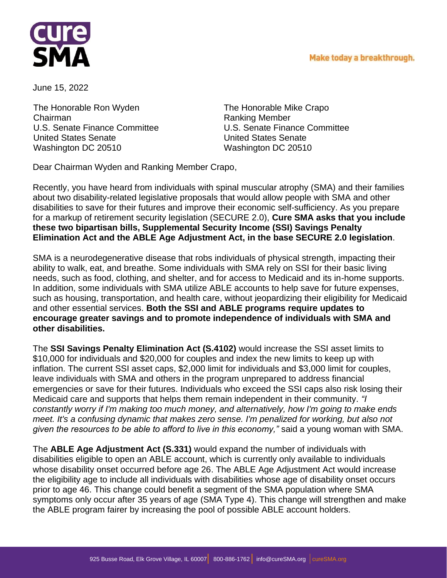



June 15, 2022

The Honorable Ron Wyden Chairman U.S. Senate Finance Committee United States Senate Washington DC 20510

The Honorable Mike Crapo Ranking Member U.S. Senate Finance Committee United States Senate Washington DC 20510

Dear Chairman Wyden and Ranking Member Crapo,

Recently, you have heard from individuals with spinal muscular atrophy (SMA) and their families about two disability-related legislative proposals that would allow people with SMA and other disabilities to save for their futures and improve their economic self-sufficiency. As you prepare for a markup of retirement security legislation (SECURE 2.0), **Cure SMA asks that you include these two bipartisan bills, Supplemental Security Income (SSI) Savings Penalty Elimination Act and the ABLE Age Adjustment Act, in the base SECURE 2.0 legislation**.

SMA is a neurodegenerative disease that robs individuals of physical strength, impacting their ability to walk, eat, and breathe. Some individuals with SMA rely on SSI for their basic living needs, such as food, clothing, and shelter, and for access to Medicaid and its in-home supports. In addition, some individuals with SMA utilize ABLE accounts to help save for future expenses, such as housing, transportation, and health care, without jeopardizing their eligibility for Medicaid and other essential services. **Both the SSI and ABLE programs require updates to encourage greater savings and to promote independence of individuals with SMA and other disabilities.** 

The **SSI Savings Penalty Elimination Act (S.4102)** would increase the SSI asset limits to \$10,000 for individuals and \$20,000 for couples and index the new limits to keep up with inflation. The current SSI asset caps, \$2,000 limit for individuals and \$3,000 limit for couples, leave individuals with SMA and others in the program unprepared to address financial emergencies or save for their futures. Individuals who exceed the SSI caps also risk losing their Medicaid care and supports that helps them remain independent in their community. *"I constantly worry if I'm making too much money, and alternatively, how I'm going to make ends meet. It's a confusing dynamic that makes zero sense. I'm penalized for working, but also not given the resources to be able to afford to live in this economy,"* said a young woman with SMA.

The **ABLE Age Adjustment Act (S.331)** would expand the number of individuals with disabilities eligible to open an ABLE account, which is currently only available to individuals whose disability onset occurred before age 26. The ABLE Age Adjustment Act would increase the eligibility age to include all individuals with disabilities whose age of disability onset occurs prior to age 46. This change could benefit a segment of the SMA population where SMA symptoms only occur after 35 years of age (SMA Type 4). This change will strengthen and make the ABLE program fairer by increasing the pool of possible ABLE account holders.